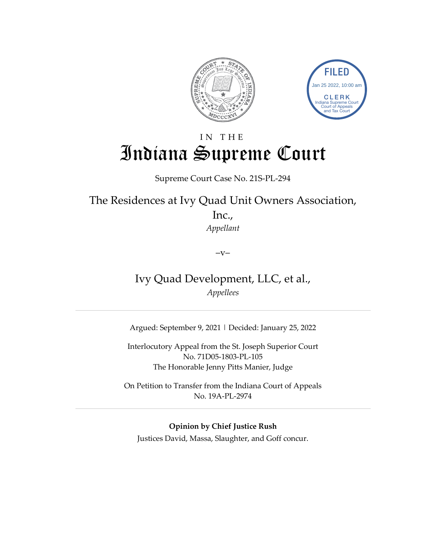



# IN THE Indiana Supreme Court

### Supreme Court Case No. 21S-PL-294

The Residences at Ivy Quad Unit Owners Association,

Inc., *Appellant*

 $-V-$ 

Ivy Quad Development, LLC, et al., *Appellees*

Argued: September 9, 2021 | Decided: January 25, 2022

Interlocutory Appeal from the St. Joseph Superior Court No. 71D05-1803-PL-105 The Honorable Jenny Pitts Manier, Judge

On Petition to Transfer from the Indiana Court of Appeals No. 19A-PL-2974

**Opinion by Chief Justice Rush**

Justices David, Massa, Slaughter, and Goff concur.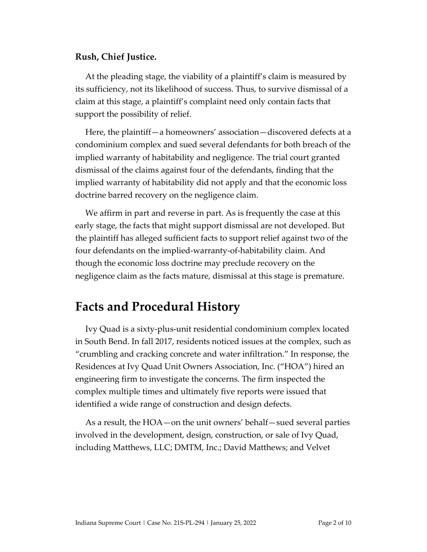### **Rush, Chief Justice.**

At the pleading stage, the viability of a plaintiff's claim is measured by its sufficiency, not its likelihood of success. Thus, to survive dismissal of a claim at this stage, a plaintiff's complaint need only contain facts that support the possibility of relief.

Here, the plaintiff—a homeowners' association—discovered defects at a condominium complex and sued several defendants for both breach of the implied warranty of habitability and negligence. The trial court granted dismissal of the claims against four of the defendants, finding that the implied warranty of habitability did not apply and that the economic loss doctrine barred recovery on the negligence claim.

We affirm in part and reverse in part. As is frequently the case at this early stage, the facts that might support dismissal are not developed. But the plaintiff has alleged sufficient facts to support relief against two of the four defendants on the implied-warranty-of-habitability claim. And though the economic loss doctrine may preclude recovery on the negligence claim as the facts mature, dismissal at this stage is premature.

## **Facts and Procedural History**

Ivy Quad is a sixty-plus-unit residential condominium complex located in South Bend. In fall 2017, residents noticed issues at the complex, such as "crumbling and cracking concrete and water infiltration." In response, the Residences at Ivy Quad Unit Owners Association, Inc. ("HOA") hired an engineering firm to investigate the concerns. The firm inspected the complex multiple times and ultimately five reports were issued that identified a wide range of construction and design defects.

As a result, the HOA—on the unit owners' behalf—sued several parties involved in the development, design, construction, or sale of Ivy Quad, including Matthews, LLC; DMTM, Inc.; David Matthews; and Velvet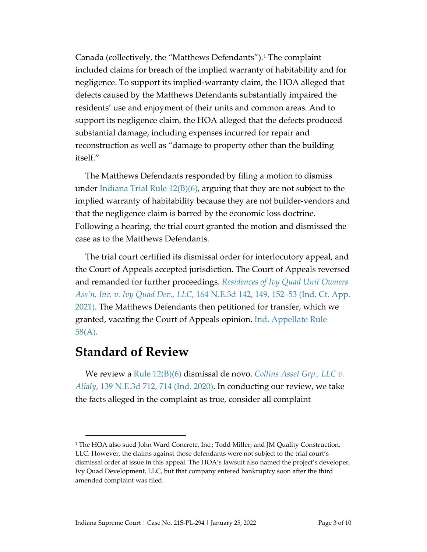Canada (collectively, the "Matthews Defendants").<sup>[1](#page-2-0)</sup> The complaint included claims for breach of the implied warranty of habitability and for negligence. To support its implied-warranty claim, the HOA alleged that defects caused by the Matthews Defendants substantially impaired the residents' use and enjoyment of their units and common areas. And to support its negligence claim, the HOA alleged that the defects produced substantial damage, including expenses incurred for repair and reconstruction as well as "damage to property other than the building itself."

The Matthews Defendants responded by filing a motion to dismiss under [Indiana Trial Rule 12\(B\)\(6\),](https://1.next.westlaw.com/Document/N92917200816F11DB8132CD13D2280436/View/FullText.html?originationContext=documenttoc&transitionType=CategoryPageItem&contextData=(sc.Default)) arguing that they are not subject to the implied warranty of habitability because they are not builder-vendors and that the negligence claim is barred by the economic loss doctrine. Following a hearing, the trial court granted the motion and dismissed the case as to the Matthews Defendants.

The trial court certified its dismissal order for interlocutory appeal, and the Court of Appeals accepted jurisdiction. The Court of Appeals reversed and remanded for further proceedings. *[Residences of Ivy Quad Unit Owners](https://1.next.westlaw.com/Document/I9deea9d0653811eb887f92cebae89bda/View/FullText.html?transitionType=UniqueDocItem&contextData=(sc.RelatedInfo)&userEnteredCitation=164+N.E.3d+142)  [Ass'n, Inc. v. Ivy Quad Dev., LLC](https://1.next.westlaw.com/Document/I9deea9d0653811eb887f92cebae89bda/View/FullText.html?transitionType=UniqueDocItem&contextData=(sc.RelatedInfo)&userEnteredCitation=164+N.E.3d+142)*, 164 N.E.3d 142, 149, 152–53 (Ind. Ct. App. [2021\).](https://1.next.westlaw.com/Document/I9deea9d0653811eb887f92cebae89bda/View/FullText.html?transitionType=UniqueDocItem&contextData=(sc.RelatedInfo)&userEnteredCitation=164+N.E.3d+142) The Matthews Defendants then petitioned for transfer, which we granted, vacating the Court of Appeals opinion. [Ind. Appellate Rule](https://1.next.westlaw.com/Document/N2CFAA090B86211DBAEA4B60E7E39EF94/View/FullText.html?originationContext=documenttoc&transitionType=CategoryPageItem&contextData=(sc.Default))  [58\(A\).](https://1.next.westlaw.com/Document/N2CFAA090B86211DBAEA4B60E7E39EF94/View/FullText.html?originationContext=documenttoc&transitionType=CategoryPageItem&contextData=(sc.Default))

## **Standard of Review**

We review a Rule 12(B)(6) dismissal de novo. *[Collins Asset Grp., LLC v.](https://1.next.westlaw.com/Document/If90b1f7051ce11eab6f7ee986760d6bc/View/FullText.html?transitionType=UniqueDocItem&contextData=(sc.Category)&userEnteredCitation=139+N.E.3d+712)  Alialy*[, 139 N.E.3d 712, 714](https://1.next.westlaw.com/Document/If90b1f7051ce11eab6f7ee986760d6bc/View/FullText.html?transitionType=UniqueDocItem&contextData=(sc.Category)&userEnteredCitation=139+N.E.3d+712) (Ind. 2020). In conducting our review, we take the facts alleged in the complaint as true, consider all complaint

<span id="page-2-0"></span><sup>&</sup>lt;sup>1</sup> The HOA also sued John Ward Concrete, Inc.; Todd Miller; and JM Quality Construction, LLC. However, the claims against those defendants were not subject to the trial court's dismissal order at issue in this appeal. The HOA's lawsuit also named the project's developer, Ivy Quad Development, LLC, but that company entered bankruptcy soon after the third amended complaint was filed.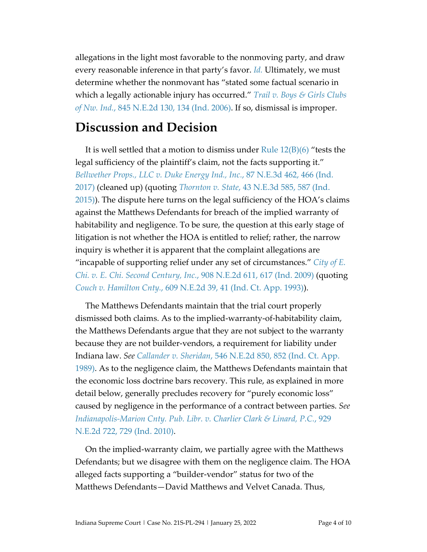allegations in the light most favorable to the nonmoving party, and draw every reasonable inference in that party's favor. *[Id.](https://1.next.westlaw.com/Document/If90b1f7051ce11eab6f7ee986760d6bc/View/FullText.html?transitionType=UniqueDocItem&contextData=(sc.Category)&userEnteredCitation=139+N.E.3d+712)* Ultimately, we must determine whether the nonmovant has "stated some factual scenario in which a legally actionable injury has occurred." *[Trail v. Boys & Girls Clubs](https://1.next.westlaw.com/Document/I1b4a64caca4711da8d25f4b404a4756a/View/FullText.html?transitionType=UniqueDocItem&contextData=(sc.UserEnteredCitation)&userEnteredCitation=845+N.E.2d+130)  of Nw. Ind.*, [845 N.E.2d 130, 134](https://1.next.westlaw.com/Document/I1b4a64caca4711da8d25f4b404a4756a/View/FullText.html?transitionType=UniqueDocItem&contextData=(sc.UserEnteredCitation)&userEnteredCitation=845+N.E.2d+130) (Ind. 2006). If so, dismissal is improper.

## **Discussion and Decision**

It is well settled that a motion to dismiss under Rule 12(B)(6) "tests the legal sufficiency of the plaintiff's claim, not the facts supporting it." *[Bellwether Props., LLC v. Duke Energy Ind., Inc.](https://1.next.westlaw.com/Document/I50b767a0e5f311e79fcefd9d4766cbba/View/FullText.html?transitionType=UniqueDocItem&contextData=(sc.UserEnteredCitation)&userEnteredCitation=87+N.E.3d+462)*, 87 N.E.3d 462, 466 (Ind. [2017\)](https://1.next.westlaw.com/Document/I50b767a0e5f311e79fcefd9d4766cbba/View/FullText.html?transitionType=UniqueDocItem&contextData=(sc.UserEnteredCitation)&userEnteredCitation=87+N.E.3d+462) (cleaned up) (quoting *Thornton v. State*[, 43 N.E.3d 585, 587 \(Ind.](https://1.next.westlaw.com/Document/I9ea49781a96711e5b4bafa136b480ad2/View/FullText.html?originationContext=docHeader&contextData=(sc.DocLink)&transitionType=Document&needToInjectTerms=False&docSource=692436c2b340417eb0f9e00414628b48)  [2015\)\)](https://1.next.westlaw.com/Document/I9ea49781a96711e5b4bafa136b480ad2/View/FullText.html?originationContext=docHeader&contextData=(sc.DocLink)&transitionType=Document&needToInjectTerms=False&docSource=692436c2b340417eb0f9e00414628b48). The dispute here turns on the legal sufficiency of the HOA's claims against the Matthews Defendants for breach of the implied warranty of habitability and negligence. To be sure, the question at this early stage of litigation is not whether the HOA is entitled to relief; rather, the narrow inquiry is whether it is apparent that the complaint allegations are "incapable of supporting relief under any set of circumstances." *[City of E.](https://1.next.westlaw.com/Document/Ibecb75e4665211deabded03f2b83b8a4/View/FullText.html?transitionType=UniqueDocItem&contextData=(sc.DocLink)&userEnteredCitation=908+N.E.2d+611)  Chi. v. E. Chi. Second Century, Inc.*[, 908 N.E.2d 611, 617 \(Ind. 2009\)](https://1.next.westlaw.com/Document/Ibecb75e4665211deabded03f2b83b8a4/View/FullText.html?transitionType=UniqueDocItem&contextData=(sc.DocLink)&userEnteredCitation=908+N.E.2d+611) (quoting *Couch v. Hamilton Cnty.*[, 609 N.E.2d 39, 41 \(Ind. Ct. App. 1993\)\)](https://1.next.westlaw.com/Document/Iff7b3bc4d3e811d9bf60c1d57ebc853e/View/FullText.html?originationContext=docHeader&contextData=(sc.DocLink)&transitionType=Document&needToInjectTerms=False&docSource=3adf44163166433ca45a4b2cc31548c9).

The Matthews Defendants maintain that the trial court properly dismissed both claims. As to the implied-warranty-of-habitability claim, the Matthews Defendants argue that they are not subject to the warranty because they are not builder-vendors, a requirement for liability under Indiana law. *See Callander v. Sheridan*[, 546 N.E.2d 850, 852 \(Ind. Ct.](https://1.next.westlaw.com/Document/I35a67034d34311d9bf60c1d57ebc853e/View/FullText.html?transitionType=UniqueDocItem&contextData=(sc.UserEnteredCitation)&userEnteredCitation=546+N.E.2d+850) App. [1989\).](https://1.next.westlaw.com/Document/I35a67034d34311d9bf60c1d57ebc853e/View/FullText.html?transitionType=UniqueDocItem&contextData=(sc.UserEnteredCitation)&userEnteredCitation=546+N.E.2d+850) As to the negligence claim, the Matthews Defendants maintain that the economic loss doctrine bars recovery. This rule, as explained in more detail below, generally precludes recovery for "purely economic loss" caused by negligence in the performance of a contract between parties. *See [Indianapolis-Marion Cnty. Pub. Libr.](https://1.next.westlaw.com/Document/I6c8368cb844711dfbd1deb0d18fe7234/View/FullText.html?transitionType=UniqueDocItem&contextData=(sc.UserEnteredCitation)&userEnteredCitation=929+N.E.2d+722) v. Charlier Clark & Linard, P.C.*, 929 [N.E.2d 722, 729 \(Ind. 2010\).](https://1.next.westlaw.com/Document/I6c8368cb844711dfbd1deb0d18fe7234/View/FullText.html?transitionType=UniqueDocItem&contextData=(sc.UserEnteredCitation)&userEnteredCitation=929+N.E.2d+722)

On the implied-warranty claim, we partially agree with the Matthews Defendants; but we disagree with them on the negligence claim. The HOA alleged facts supporting a "builder-vendor" status for two of the Matthews Defendants—David Matthews and Velvet Canada. Thus,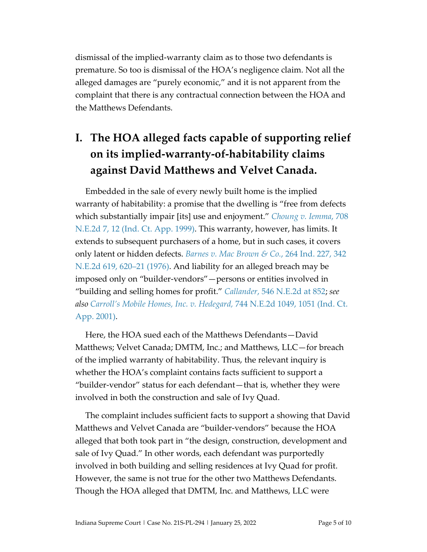dismissal of the implied-warranty claim as to those two defendants is premature. So too is dismissal of the HOA's negligence claim. Not all the alleged damages are "purely economic," and it is not apparent from the complaint that there is any contractual connection between the HOA and the Matthews Defendants.

# **I. The HOA alleged facts capable of supporting relief on its implied-warranty-of-habitability claims against David Matthews and Velvet Canada.**

Embedded in the sale of every newly built home is the implied warranty of habitability: a promise that the dwelling is "free from defects which substantially impair [its] use and enjoyment." *[Choung v. Iemma](https://1.next.westlaw.com/Document/Ibd35626ad46811d983e7e9deff98dc6f/View/FullText.html?navigationPath=RelatedInfo%2Fv4%2Fkeycite%2Fnav%2F%3Fguid%3DIbd35626ad46811d983e7e9deff98dc6f%26ss%3D1989170752%26ds%3D1999079870%26origDocGuid%3DI35a67034d34311d9bf60c1d57ebc853e&listSource=RelatedInfo&list=NegativeCitingReferences&rank=0&ppcid=70684ab190c84b3b845e0f3ef38ca859&originationContext=docHeader&transitionType=NegativeTreatment&contextData=%28sc.UserEnteredCitation%29)*, 708 N.E.2d [7, 12 \(Ind. Ct. App. 1999\).](https://1.next.westlaw.com/Document/Ibd35626ad46811d983e7e9deff98dc6f/View/FullText.html?navigationPath=RelatedInfo%2Fv4%2Fkeycite%2Fnav%2F%3Fguid%3DIbd35626ad46811d983e7e9deff98dc6f%26ss%3D1989170752%26ds%3D1999079870%26origDocGuid%3DI35a67034d34311d9bf60c1d57ebc853e&listSource=RelatedInfo&list=NegativeCitingReferences&rank=0&ppcid=70684ab190c84b3b845e0f3ef38ca859&originationContext=docHeader&transitionType=NegativeTreatment&contextData=%28sc.UserEnteredCitation%29) This warranty, however, has limits. It extends to subsequent purchasers of a home, but in such cases, it covers only latent or hidden defects. *Barnes v. Mac Brown & Co.*, 264 Ind. 227, 342 N.E.2d 619, 620–21 (1976). And liability for an alleged breach may be imposed only on "builder-vendors"—persons or entities involved in "building and selling homes for profit." *Callander*[, 546 N.E.2d at](https://1.next.westlaw.com/Document/I35a67034d34311d9bf60c1d57ebc853e/View/FullText.html?transitionType=UniqueDocItem&contextData=(sc.UserEnteredCitation)&userEnteredCitation=546+N.E.2d+850) 852; *see also Carroll's Mobile Homes, Inc. v. Hedegard,* 744 N.E.2d 1049, 1051 (Ind. Ct. App. 2001).

Here, the HOA sued each of the Matthews Defendants—David Matthews; Velvet Canada; DMTM, Inc.; and Matthews, LLC—for breach of the implied warranty of habitability. Thus, the relevant inquiry is whether the HOA's complaint contains facts sufficient to support a "builder-vendor" status for each defendant—that is, whether they were involved in both the construction and sale of Ivy Quad.

The complaint includes sufficient facts to support a showing that David Matthews and Velvet Canada are "builder-vendors" because the HOA alleged that both took part in "the design, construction, development and sale of Ivy Quad." In other words, each defendant was purportedly involved in both building and selling residences at Ivy Quad for profit. However, the same is not true for the other two Matthews Defendants. Though the HOA alleged that DMTM, Inc. and Matthews, LLC were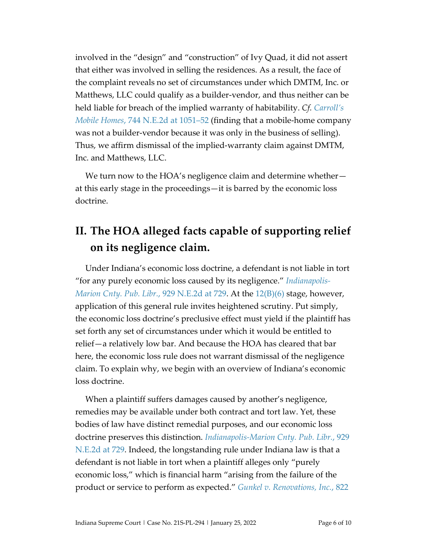involved in the "design" and "construction" of Ivy Quad, it did not assert that either was involved in selling the residences. As a result, the face of the complaint reveals no set of circumstances under which DMTM, Inc. or Matthews, LLC could qualify as a builder-vendor, and thus neither can be held liable for breach of the implied warranty of habitability. *Cf. [Carroll's](https://1.next.westlaw.com/Document/I62bccb5fd39811d99439b076ef9ec4de/View/FullText.html?transitionType=UniqueDocItem&contextData=(sc.UserEnteredCitation)&userEnteredCitation=744+N.E.2d+1049)  Mobile Homes*[, 744 N.E.2d at 1051–52](https://1.next.westlaw.com/Document/I62bccb5fd39811d99439b076ef9ec4de/View/FullText.html?transitionType=UniqueDocItem&contextData=(sc.UserEnteredCitation)&userEnteredCitation=744+N.E.2d+1049) (finding that a mobile-home company was not a builder-vendor because it was only in the business of selling). Thus, we affirm dismissal of the implied-warranty claim against DMTM, Inc. and Matthews, LLC.

We turn now to the HOA's negligence claim and determine whether at this early stage in the proceedings—it is barred by the economic loss doctrine.

## **II. The HOA alleged facts capable of supporting relief on its negligence claim.**

Under Indiana's economic loss doctrine, a defendant is not liable in tort "for any purely economic loss caused by its negligence." *[Indianapolis-](https://1.next.westlaw.com/Document/I6c8368cb844711dfbd1deb0d18fe7234/View/FullText.html?transitionType=UniqueDocItem&contextData=(sc.UserEnteredCitation)&userEnteredCitation=929+N.E.2d+722)[Marion Cnty. Pub. Libr.](https://1.next.westlaw.com/Document/I6c8368cb844711dfbd1deb0d18fe7234/View/FullText.html?transitionType=UniqueDocItem&contextData=(sc.UserEnteredCitation)&userEnteredCitation=929+N.E.2d+722)*, 929 N.E.2d at 729. At the [12\(B\)\(6\)](https://courtsingov-my.sharepoint.com/personal/josh_woodward_courts_in_gov/Documents/Opinions/Res.%20at%20Ivy%20Quad%20Unit%20Owners/Indiana%20Trial%20Rule%2012(B)(6)) stage, however, application of this general rule invites heightened scrutiny. Put simply, the economic loss doctrine's preclusive effect must yield if the plaintiff has set forth any set of circumstances under which it would be entitled to relief—a relatively low bar. And because the HOA has cleared that bar here, the economic loss rule does not warrant dismissal of the negligence claim. To explain why, we begin with an overview of Indiana's economic loss doctrine.

When a plaintiff suffers damages caused by another's negligence, remedies may be available under both contract and tort law. Yet, these bodies of law have distinct remedial purposes, and our economic loss doctrine preserves this distinction. *[Indianapolis-Marion Cnty. Pub. Libr.](https://1.next.westlaw.com/Document/I6c8368cb844711dfbd1deb0d18fe7234/View/FullText.html?transitionType=UniqueDocItem&contextData=(sc.UserEnteredCitation)&userEnteredCitation=929+N.E.2d+722)*, 929 [N.E.2d at 729.](https://1.next.westlaw.com/Document/I6c8368cb844711dfbd1deb0d18fe7234/View/FullText.html?transitionType=UniqueDocItem&contextData=(sc.UserEnteredCitation)&userEnteredCitation=929+N.E.2d+722) Indeed, the longstanding rule under Indiana law is that a defendant is not liable in tort when a plaintiff alleges only "purely economic loss," which is financial harm "arising from the failure of the product or service to perform as expected." *Gunkel [v. Renovations, Inc.](https://1.next.westlaw.com/Document/I4909da60d30511d9bf60c1d57ebc853e/View/FullText.html?transitionType=UniqueDocItem&contextData=(sc.Keycite)&userEnteredCitation=822+N.E.2d+150)*, 822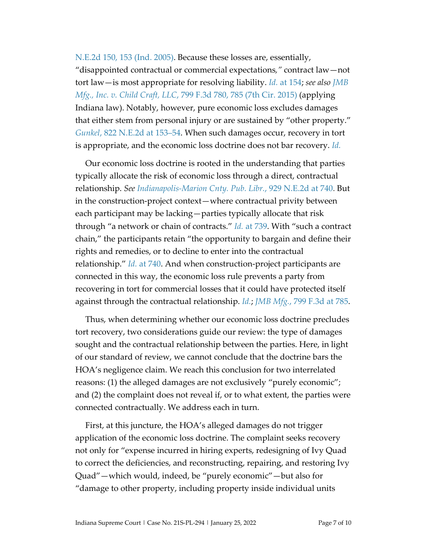[N.E.2d 150,](https://1.next.westlaw.com/Document/I4909da60d30511d9bf60c1d57ebc853e/View/FullText.html?transitionType=UniqueDocItem&contextData=(sc.Keycite)&userEnteredCitation=822+N.E.2d+150) 153 (Ind. 2005). Because these losses are, essentially, "disappointed contractual or commercial expectations*,"* contract law—not tort law—is most appropriate for resolving liability. *Id.* [at 154;](https://1.next.westlaw.com/Document/I4909da60d30511d9bf60c1d57ebc853e/View/FullText.html?transitionType=UniqueDocItem&contextData=(sc.Keycite)&userEnteredCitation=822+N.E.2d+150) *see also [JMB](https://1.next.westlaw.com/Document/I204ba3544aed11e5b86bd602cb8781fa/View/FullText.html?transitionType=UniqueDocItem&contextData=(sc.UserEnteredCitation)&userEnteredCitation=799+F.3d+780)  Mfg., Inc. v. Child Craft, LLC*[, 799 F.3d 780, 785 \(7th Cir. 2015\)](https://1.next.westlaw.com/Document/I204ba3544aed11e5b86bd602cb8781fa/View/FullText.html?transitionType=UniqueDocItem&contextData=(sc.UserEnteredCitation)&userEnteredCitation=799+F.3d+780) (applying Indiana law). Notably, however, pure economic loss excludes damages that either stem from personal injury or are sustained by "other property." *Gunkel*[, 822 N.E.2d at 153–54.](https://1.next.westlaw.com/Document/I4909da60d30511d9bf60c1d57ebc853e/View/FullText.html?transitionType=UniqueDocItem&contextData=(sc.Keycite)&userEnteredCitation=822+N.E.2d+150) When such damages occur, recovery in tort is appropriate, and the economic loss doctrine does not bar recovery. *[Id.](https://1.next.westlaw.com/Document/I4909da60d30511d9bf60c1d57ebc853e/View/FullText.html?transitionType=UniqueDocItem&contextData=(sc.Keycite)&userEnteredCitation=822+N.E.2d+150)*

Our economic loss doctrine is rooted in the understanding that parties typically allocate the risk of economic loss through a direct, contractual relationship. *See [Indianapolis-Marion Cnty. Pub. Libr.](https://1.next.westlaw.com/Document/I6c8368cb844711dfbd1deb0d18fe7234/View/FullText.html?transitionType=UniqueDocItem&contextData=(sc.UserEnteredCitation)&userEnteredCitation=929+N.E.2d+722)*, 929 N.E.2d at 740. But in the construction-project context—where contractual privity between each participant may be lacking—parties typically allocate that risk through "a network or chain of contracts." *Id.* [at 739.](https://1.next.westlaw.com/Document/I6c8368cb844711dfbd1deb0d18fe7234/View/FullText.html?transitionType=UniqueDocItem&contextData=(sc.UserEnteredCitation)&userEnteredCitation=929+N.E.2d+722) With "such a contract chain," the participants retain "the opportunity to bargain and define their rights and remedies, or to decline to enter into the contractual relationship." *Id.* [at 740.](https://1.next.westlaw.com/Document/I6c8368cb844711dfbd1deb0d18fe7234/View/FullText.html?transitionType=UniqueDocItem&contextData=(sc.UserEnteredCitation)&userEnteredCitation=929+N.E.2d+722) And when construction-project participants are connected in this way, the economic loss rule prevents a party from recovering in tort for commercial losses that it could have protected itself against through the contractual relationship. *[Id.](https://1.next.westlaw.com/Document/I6c8368cb844711dfbd1deb0d18fe7234/View/FullText.html?transitionType=UniqueDocItem&contextData=(sc.UserEnteredCitation)&userEnteredCitation=929+N.E.2d+722)*; *JMB Mfg.*[, 799 F.3d at 785.](https://1.next.westlaw.com/Document/I204ba3544aed11e5b86bd602cb8781fa/View/FullText.html?transitionType=UniqueDocItem&contextData=(sc.UserEnteredCitation)&userEnteredCitation=799+F.3d+780)

Thus, when determining whether our economic loss doctrine precludes tort recovery, two considerations guide our review: the type of damages sought and the contractual relationship between the parties. Here, in light of our standard of review, we cannot conclude that the doctrine bars the HOA's negligence claim. We reach this conclusion for two interrelated reasons: (1) the alleged damages are not exclusively "purely economic"; and (2) the complaint does not reveal if, or to what extent, the parties were connected contractually. We address each in turn.

First, at this juncture, the HOA's alleged damages do not trigger application of the economic loss doctrine. The complaint seeks recovery not only for "expense incurred in hiring experts, redesigning of Ivy Quad to correct the deficiencies, and reconstructing, repairing, and restoring Ivy Quad"—which would, indeed, be "purely economic"—but also for "damage to other property, including property inside individual units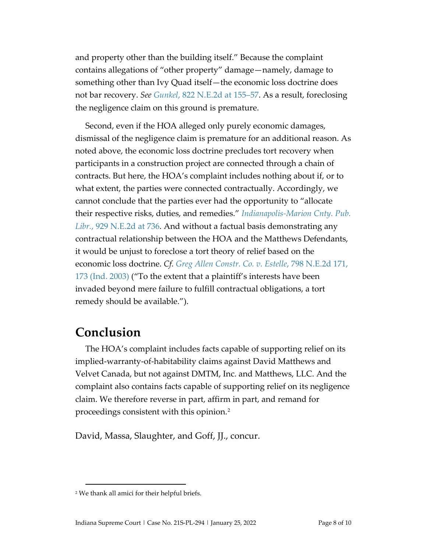and property other than the building itself." Because the complaint contains allegations of "other property" damage—namely, damage to something other than Ivy Quad itself—the economic loss doctrine does not bar recovery. *See Gunkel*[, 822 N.E.2d at 155–57.](https://1.next.westlaw.com/Document/I4909da60d30511d9bf60c1d57ebc853e/View/FullText.html?transitionType=UniqueDocItem&contextData=(sc.Keycite)&userEnteredCitation=822+N.E.2d+150) As a result, foreclosing the negligence claim on this ground is premature.

Second, even if the HOA alleged only purely economic damages, dismissal of the negligence claim is premature for an additional reason. As noted above, the economic loss doctrine precludes tort recovery when participants in a construction project are connected through a chain of contracts. But here, the HOA's complaint includes nothing about if, or to what extent, the parties were connected contractually. Accordingly, we cannot conclude that the parties ever had the opportunity to "allocate their respective risks, duties, and remedies." *[Indianapolis-Marion Cnty. Pub.](https://1.next.westlaw.com/Document/I6c8368cb844711dfbd1deb0d18fe7234/View/FullText.html?transitionType=UniqueDocItem&contextData=(sc.UserEnteredCitation)&userEnteredCitation=929+N.E.2d+722)  Libr.*[, 929 N.E.2d at 736.](https://1.next.westlaw.com/Document/I6c8368cb844711dfbd1deb0d18fe7234/View/FullText.html?transitionType=UniqueDocItem&contextData=(sc.UserEnteredCitation)&userEnteredCitation=929+N.E.2d+722) And without a factual basis demonstrating any contractual relationship between the HOA and the Matthews Defendants, it would be unjust to foreclose a tort theory of relief based on the economic loss doctrine. *Cf. [Greg Allen Constr. Co. v. Estelle](https://1.next.westlaw.com/Document/Ie3ff3c05d44411d98ac8f235252e36df/View/FullText.html?transitionType=UniqueDocItem&contextData=(sc.UserEnteredCitation)&userEnteredCitation=798+N.E.2d+171)*, 798 N.E.2d 171, [173 \(Ind. 2003\)](https://1.next.westlaw.com/Document/Ie3ff3c05d44411d98ac8f235252e36df/View/FullText.html?transitionType=UniqueDocItem&contextData=(sc.UserEnteredCitation)&userEnteredCitation=798+N.E.2d+171) ("To the extent that a plaintiff's interests have been invaded beyond mere failure to fulfill contractual obligations, a tort remedy should be available.").

## **Conclusion**

The HOA's complaint includes facts capable of supporting relief on its implied-warranty-of-habitability claims against David Matthews and Velvet Canada, but not against DMTM, Inc. and Matthews, LLC. And the complaint also contains facts capable of supporting relief on its negligence claim. We therefore reverse in part, affirm in part, and remand for proceedings consistent with this opinion.[2](#page-7-0)

David, Massa, Slaughter, and Goff, JJ., concur.

<span id="page-7-0"></span><sup>2</sup> We thank all amici for their helpful briefs.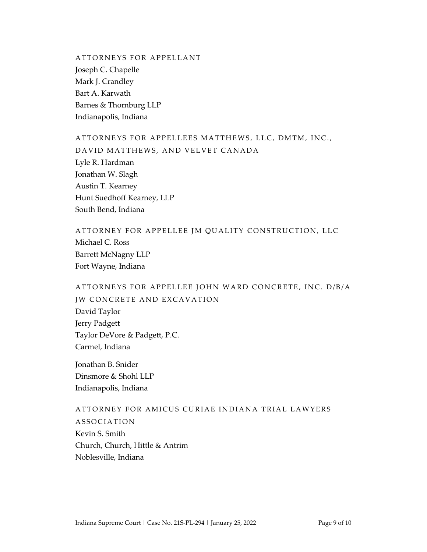ATTORNEYS FOR APPELLANT Joseph C. Chapelle Mark J. Crandley Bart A. Karwath Barnes & Thornburg LLP Indianapolis, Indiana

#### ATTORNEYS FOR APPELLEES MATTHEWS, LLC, DMTM, INC.,

DAVID MATTHEWS, AND VELVET CANADA Lyle R. Hardman Jonathan W. Slagh Austin T. Kearney Hunt Suedhoff Kearney, LLP South Bend, Indiana

ATTORNEY FOR APPELLEE JM QUALITY CONSTRUCTION, LLC Michael C. Ross Barrett McNagny LLP Fort Wayne, Indiana

## ATTORNEYS FOR APPELLEE JOHN WARD CONCRETE, INC. D/B/A JW CONCRETE AND EXCAVATION

David Taylor Jerry Padgett Taylor DeVore & Padgett, P.C. Carmel, Indiana

Jonathan B. Snider Dinsmore & Shohl LLP Indianapolis, Indiana

#### ATTORNEY FOR AMICUS CURIAE INDIANA TRIAL LAWYERS

ASSOCIATION Kevin S. Smith Church, Church, Hittle & Antrim Noblesville, Indiana